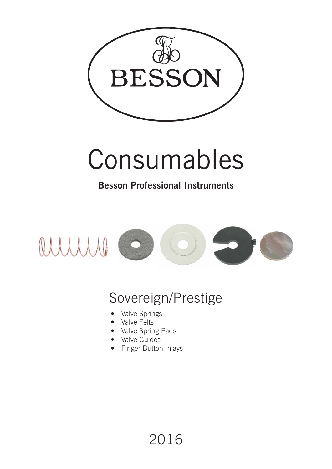

## Consumables

### **Besson Professional Instruments**



### Sovereign/Prestige

2016

- Valve Springs
- Valve Felts
- Valve Spring Pads
- Valve Guides
- Finger Button Inlays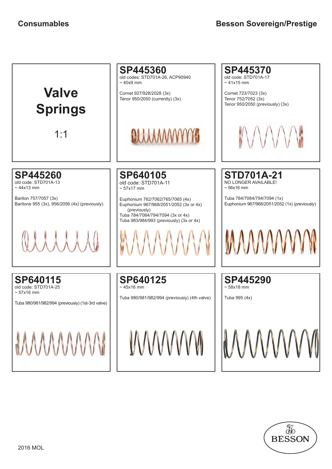

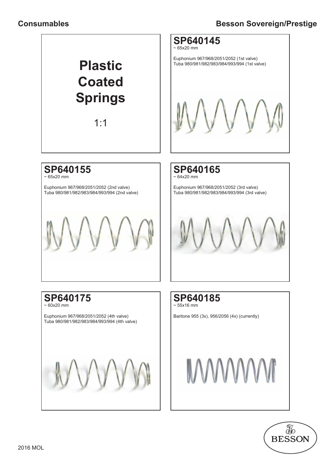#### **Consumables**

#### **Besson Sovereign/Prestige**



1:1



Euphonium 967/968/2051/2052 (1st valve) Tuba 980/981/982/983/984/993/994 (1st valve)

#### **SP640155**

 $\sim 65x20$  mm

Euphonium 967/968/2051/2052 (2nd valve) Tuba 980/981/982/983/984/993/994 (2nd valve)



**SP640165**  $\sim$  64x20 mm

Euphonium 967/968/2051/2052 (3rd valve) Tuba 980/981/982/983/984/993/994 (3rd valve)

#### **SP640175**  $\approx 60x20$  mm

Euphonium 967/968/2051/2052 (4th valve) Tuba 980/981/982/983/984/993/994 (4th valve)





Baritone 955 (3x), 956/2056 (4x) (currently)

# **MWWW**

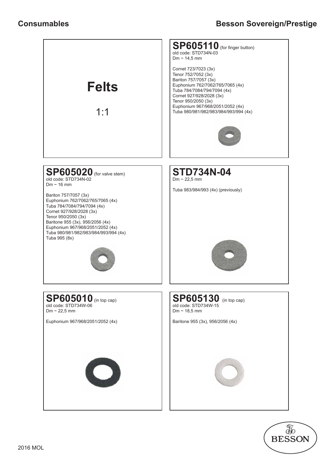

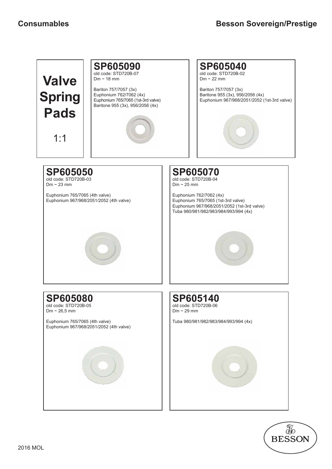

**SP605090** old code: STD720B-07  $Dm \sim 18$  mm

Bariton 757/7057 (3x) Euphonium 762/7062 (4x) Euphonium 765/7065 (1st-3rd valve) Baritone 955 (3x), 956/2056 (4x)





**SP605070** old code: STD720B-04  $Dm \sim 25$  mm Euphonium 762/7062 (4x) Euphonium 765/7065 (1st-3rd valve) Euphonium 967/968/2051/2052 (1st-3rd valve) Tuba 980/981/982/983/984/993/994 (4x) **SP605080** old code: STD720B-05  $Dm \sim 26.5$  mm Euphonium 765/7065 (4th valve) Euphonium 967/968/2051/2052 (4th valve) **SP605140** old code: STD720B-06  $Dm \sim 29$  mm Tuba 980/981/982/983/984/993/994 (4x) Euphonium 765/7065 (4th valve) Euphonium 967/968/2051/2052 (4th valve)

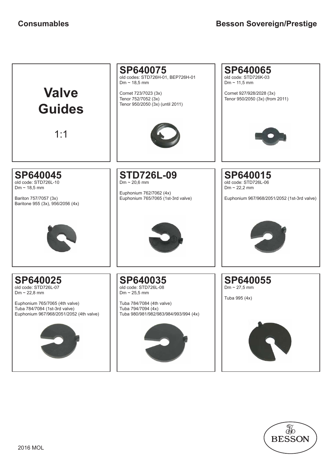

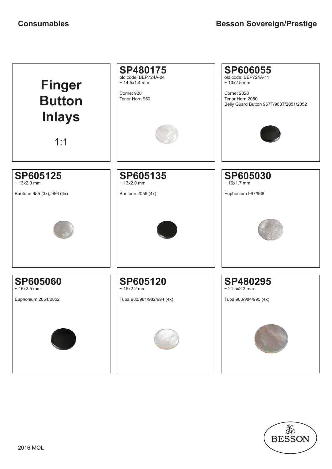